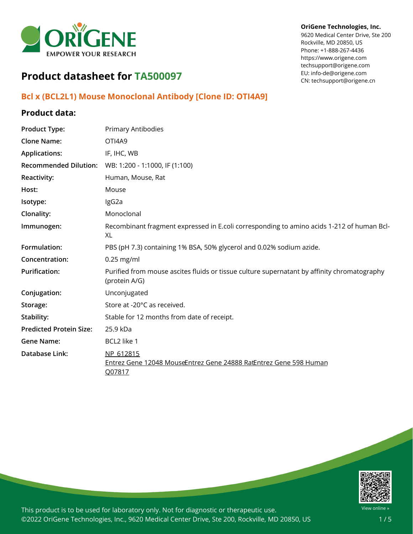

#### **OriGene Technologies, Inc.**

9620 Medical Center Drive, Ste 200 Rockville, MD 20850, US Phone: +1-888-267-4436 https://www.origene.com techsupport@origene.com EU: info-de@origene.com CN: techsupport@origene.cn

# **Product datasheet for TA500097**

## **Bcl x (BCL2L1) Mouse Monoclonal Antibody [Clone ID: OTI4A9]**

### **Product data:**

| <b>Product Type:</b>           | Primary Antibodies                                                                                           |
|--------------------------------|--------------------------------------------------------------------------------------------------------------|
| <b>Clone Name:</b>             | OTI4A9                                                                                                       |
| <b>Applications:</b>           | IF, IHC, WB                                                                                                  |
| <b>Recommended Dilution:</b>   | WB: 1:200 - 1:1000, IF (1:100)                                                                               |
| Reactivity:                    | Human, Mouse, Rat                                                                                            |
| Host:                          | Mouse                                                                                                        |
| Isotype:                       | IgG2a                                                                                                        |
| Clonality:                     | Monoclonal                                                                                                   |
| Immunogen:                     | Recombinant fragment expressed in E.coli corresponding to amino acids 1-212 of human Bcl-<br>XL              |
| Formulation:                   | PBS (pH 7.3) containing 1% BSA, 50% glycerol and 0.02% sodium azide.                                         |
| Concentration:                 | $0.25$ mg/ml                                                                                                 |
| <b>Purification:</b>           | Purified from mouse ascites fluids or tissue culture supernatant by affinity chromatography<br>(protein A/G) |
| Conjugation:                   | Unconjugated                                                                                                 |
| Storage:                       | Store at -20°C as received.                                                                                  |
| Stability:                     | Stable for 12 months from date of receipt.                                                                   |
| <b>Predicted Protein Size:</b> | 25.9 kDa                                                                                                     |
| <b>Gene Name:</b>              | BCL2 like 1                                                                                                  |
| <b>Database Link:</b>          | NP 612815<br>Entrez Gene 12048 MouseEntrez Gene 24888 RatEntrez Gene 598 Human<br>Q07817                     |



This product is to be used for laboratory only. Not for diagnostic or therapeutic use. ©2022 OriGene Technologies, Inc., 9620 Medical Center Drive, Ste 200, Rockville, MD 20850, US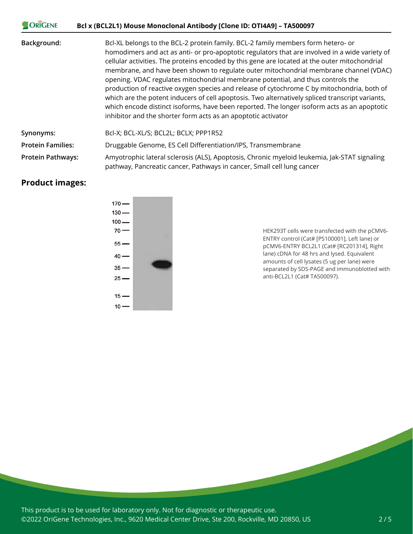| <b>JORIGENE</b>          | Bcl x (BCL2L1) Mouse Monoclonal Antibody [Clone ID: OTI4A9] - TA500097                                                                                                                                                                                                                                                                                                                                                                                                                                                                                                                                                                                                                                                                                                                                                           |
|--------------------------|----------------------------------------------------------------------------------------------------------------------------------------------------------------------------------------------------------------------------------------------------------------------------------------------------------------------------------------------------------------------------------------------------------------------------------------------------------------------------------------------------------------------------------------------------------------------------------------------------------------------------------------------------------------------------------------------------------------------------------------------------------------------------------------------------------------------------------|
| Background:              | Bcl-XL belongs to the BCL-2 protein family. BCL-2 family members form hetero- or<br>homodimers and act as anti- or pro-apoptotic regulators that are involved in a wide variety of<br>cellular activities. The proteins encoded by this gene are located at the outer mitochondrial<br>membrane, and have been shown to regulate outer mitochondrial membrane channel (VDAC)<br>opening. VDAC regulates mitochondrial membrane potential, and thus controls the<br>production of reactive oxygen species and release of cytochrome C by mitochondria, both of<br>which are the potent inducers of cell apoptosis. Two alternatively spliced transcript variants,<br>which encode distinct isoforms, have been reported. The longer isoform acts as an apoptotic<br>inhibitor and the shorter form acts as an apoptotic activator |
| Synonyms:                | Bcl-X; BCL-XL/S; BCL2L; BCLX; PPP1R52                                                                                                                                                                                                                                                                                                                                                                                                                                                                                                                                                                                                                                                                                                                                                                                            |
| <b>Protein Families:</b> | Druggable Genome, ES Cell Differentiation/IPS, Transmembrane                                                                                                                                                                                                                                                                                                                                                                                                                                                                                                                                                                                                                                                                                                                                                                     |
| <b>Protein Pathways:</b> | Amyotrophic lateral sclerosis (ALS), Apoptosis, Chronic myeloid leukemia, Jak-STAT signaling<br>pathway, Pancreatic cancer, Pathways in cancer, Small cell lung cancer                                                                                                                                                                                                                                                                                                                                                                                                                                                                                                                                                                                                                                                           |

## **Product images:**



HEK293T cells were transfected with the pCMV6- ENTRY control (Cat# [PS100001], Left lane) or pCMV6-ENTRY BCL2L1 (Cat# [RC201314], Right lane) cDNA for 48 hrs and lysed. Equivalent amounts of cell lysates (5 ug per lane) were separated by SDS-PAGE and immunoblotted with anti-BCL2L1 (Cat# TA500097).

This product is to be used for laboratory only. Not for diagnostic or therapeutic use. ©2022 OriGene Technologies, Inc., 9620 Medical Center Drive, Ste 200, Rockville, MD 20850, US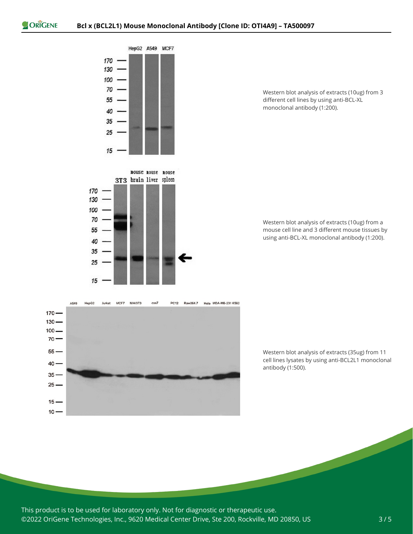$170 -$ 



Western blot analysis of extracts (10ug) from 3 different cell lines by using anti-BCL-XL monoclonal antibody (1:200).

Western blot analysis of extracts (10ug) from a mouse cell line and 3 different mouse tissues by using anti-BCL-XL monoclonal antibody (1:200).



Western blot analysis of extracts (35ug) from 11 cell lines lysates by using anti-BCL2L1 monoclonal antibody (1:500).

This product is to be used for laboratory only. Not for diagnostic or therapeutic use. ©2022 OriGene Technologies, Inc., 9620 Medical Center Drive, Ste 200, Rockville, MD 20850, US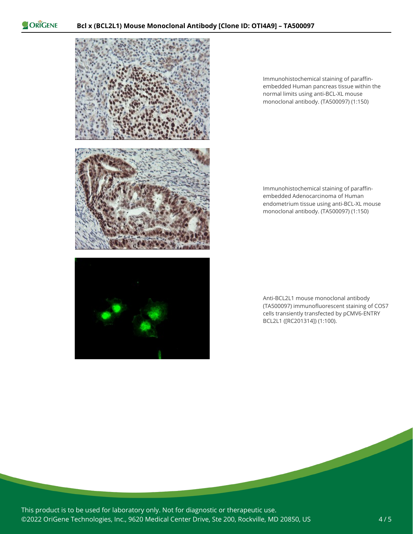ORIGENE



Immunohistochemical staining of paraffinembedded Human pancreas tissue within the normal limits using anti-BCL-XL mouse monoclonal antibody. (TA500097) (1:150)

Immunohistochemical staining of paraffinembedded Adenocarcinoma of Human endometrium tissue using anti-BCL-XL mouse monoclonal antibody. (TA500097) (1:150)

Anti-BCL2L1 mouse monoclonal antibody (TA500097) immunofluorescent staining of COS7 cells transiently transfected by pCMV6-ENTRY BCL2L1 ([RC201314]) (1:100).

This product is to be used for laboratory only. Not for diagnostic or therapeutic use. ©2022 OriGene Technologies, Inc., 9620 Medical Center Drive, Ste 200, Rockville, MD 20850, US